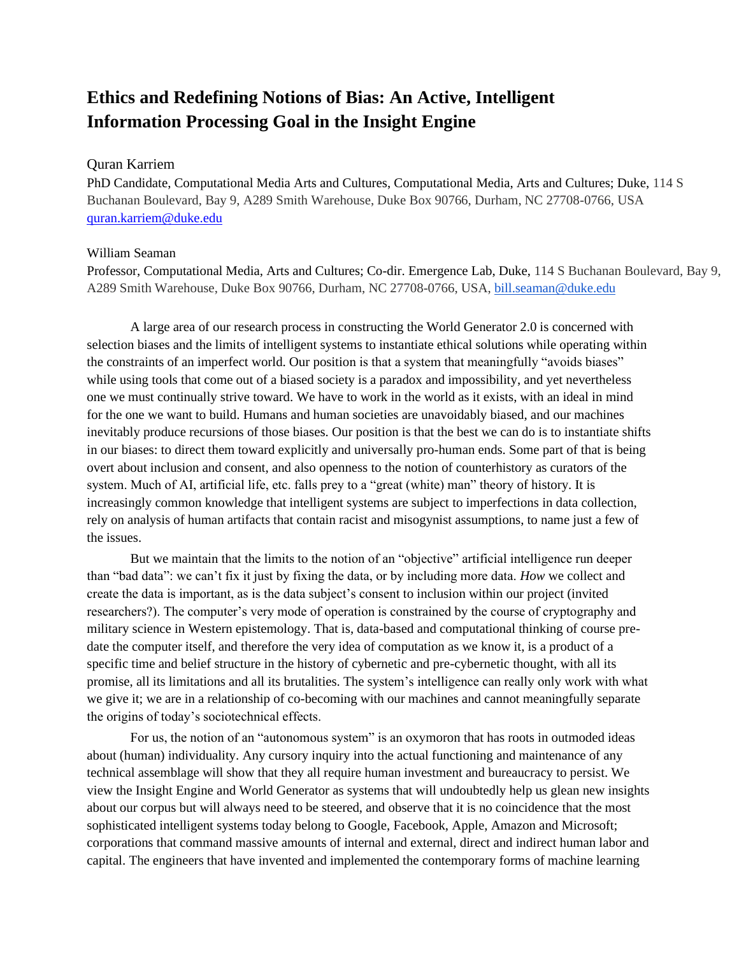## **Ethics and Redefining Notions of Bias: An Active, Intelligent Information Processing Goal in the Insight Engine**

## Quran Karriem

PhD Candidate, Computational Media Arts and Cultures, Computational Media, Arts and Cultures; Duke, 114 S Buchanan Boulevard, Bay 9, A289 Smith Warehouse, Duke Box 90766, Durham, NC 27708-0766, USA [quran.karriem@duke.edu](mailto:quran.karriem@duke.edu)

## William Seaman

Professor, Computational Media, Arts and Cultures; Co-dir. Emergence Lab, Duke, 114 S Buchanan Boulevard, Bay 9, A289 Smith Warehouse, Duke Box 90766, Durham, NC 27708-0766, USA, [bill.seaman@duke.edu](mailto:bill.seaman@duke.edu)

A large area of our research process in constructing the World Generator 2.0 is concerned with selection biases and the limits of intelligent systems to instantiate ethical solutions while operating within the constraints of an imperfect world. Our position is that a system that meaningfully "avoids biases" while using tools that come out of a biased society is a paradox and impossibility, and yet nevertheless one we must continually strive toward. We have to work in the world as it exists, with an ideal in mind for the one we want to build. Humans and human societies are unavoidably biased, and our machines inevitably produce recursions of those biases. Our position is that the best we can do is to instantiate shifts in our biases: to direct them toward explicitly and universally pro-human ends. Some part of that is being overt about inclusion and consent, and also openness to the notion of counterhistory as curators of the system. Much of AI, artificial life, etc. falls prey to a "great (white) man" theory of history. It is increasingly common knowledge that intelligent systems are subject to imperfections in data collection, rely on analysis of human artifacts that contain racist and misogynist assumptions, to name just a few of the issues.

 But we maintain that the limits to the notion of an "objective" artificial intelligence run deeper than "bad data": we can't fix it just by fixing the data, or by including more data. *How* we collect and create the data is important, as is the data subject's consent to inclusion within our project (invited researchers?). The computer's very mode of operation is constrained by the course of cryptography and military science in Western epistemology. That is, data-based and computational thinking of course predate the computer itself, and therefore the very idea of computation as we know it, is a product of a specific time and belief structure in the history of cybernetic and pre-cybernetic thought, with all its promise, all its limitations and all its brutalities. The system's intelligence can really only work with what we give it; we are in a relationship of co-becoming with our machines and cannot meaningfully separate the origins of today's sociotechnical effects.

For us, the notion of an "autonomous system" is an oxymoron that has roots in outmoded ideas about (human) individuality. Any cursory inquiry into the actual functioning and maintenance of any technical assemblage will show that they all require human investment and bureaucracy to persist. We view the Insight Engine and World Generator as systems that will undoubtedly help us glean new insights about our corpus but will always need to be steered, and observe that it is no coincidence that the most sophisticated intelligent systems today belong to Google, Facebook, Apple, Amazon and Microsoft; corporations that command massive amounts of internal and external, direct and indirect human labor and capital. The engineers that have invented and implemented the contemporary forms of machine learning